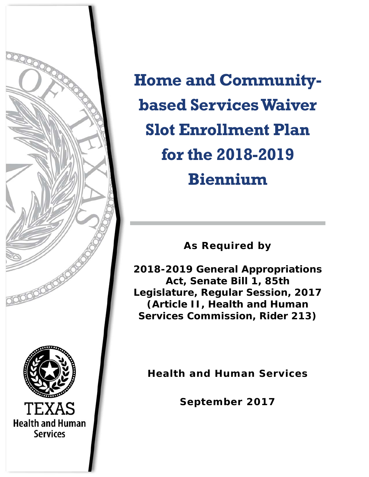

**Home and Communitybased Services Waiver Slot Enrollment Plan for the 2018-2019 Biennium** 

**As Required by** 

**2018-2019 General Appropriations Act, Senate Bill 1, 85th Legislature, Regular Session, 2017 (Article II, Health and Human Services Commission, Rider 213)** 

**Health and Human Services** 

**September 2017**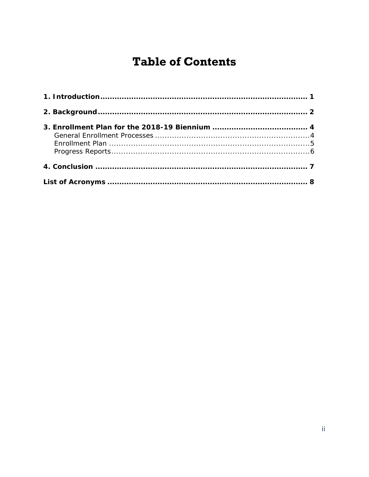# **Table of Contents**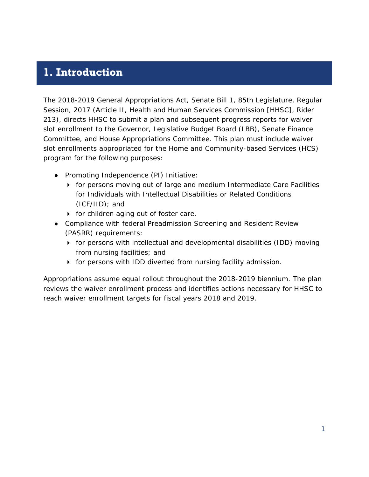## **1. Introduction**

The 2018-2019 General Appropriations Act, Senate Bill 1, 85th Legislature, Regular Session, 2017 (Article II, Health and Human Services Commission [HHSC], Rider 213), directs HHSC to submit a plan and subsequent progress reports for waiver slot enrollment to the Governor, Legislative Budget Board (LBB), Senate Finance Committee, and House Appropriations Committee. This plan must include waiver slot enrollments appropriated for the Home and Community-based Services (HCS) program for the following purposes:

- Promoting Independence (PI) Initiative:
	- **for persons moving out of large and medium Intermediate Care Facilities** for Individuals with Intellectual Disabilities or Related Conditions (ICF/IID); and
	- **for children aging out of foster care.**
- Compliance with federal Preadmission Screening and Resident Review (PASRR) requirements:
	- $\triangleright$  for persons with intellectual and developmental disabilities (IDD) moving from nursing facilities; and
	- for persons with IDD diverted from nursing facility admission.

Appropriations assume equal rollout throughout the 2018-2019 biennium. The plan reviews the waiver enrollment process and identifies actions necessary for HHSC to reach waiver enrollment targets for fiscal years 2018 and 2019.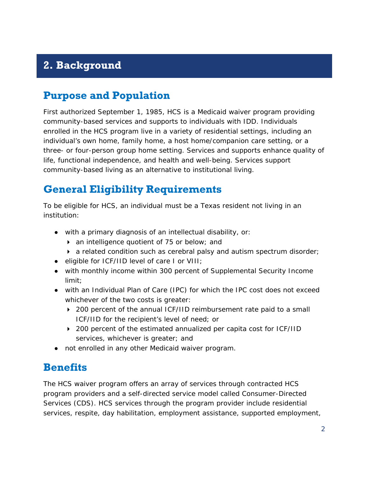## **2. Background**

## **Purpose and Population**

First authorized September 1, 1985, HCS is a Medicaid waiver program providing community-based services and supports to individuals with IDD. Individuals enrolled in the HCS program live in a variety of residential settings, including an individual's own home, family home, a host home/companion care setting, or a three- or four-person group home setting. Services and supports enhance quality of life, functional independence, and health and well-being. Services support community-based living as an alternative to institutional living.

## **General Eligibility Requirements**

To be eligible for HCS, an individual must be a Texas resident not living in an institution:

- with a primary diagnosis of an intellectual disability, or:
	- ▶ an intelligence quotient of 75 or below; and
	- a related condition such as cerebral palsy and autism spectrum disorder;
- eligible for ICF/IID level of care I or VIII;
- with monthly income within 300 percent of Supplemental Security Income limit;
- with an Individual Plan of Care (IPC) for which the IPC cost does not exceed whichever of the two costs is greater:
	- ▶ 200 percent of the annual ICF/IID reimbursement rate paid to a small ICF/IID for the recipient's level of need; or
	- ▶ 200 percent of the estimated annualized per capita cost for ICF/IID services, whichever is greater; and
- not enrolled in any other Medicaid waiver program.

#### **Benefits**

The HCS waiver program offers an array of services through contracted HCS program providers and a self-directed service model called Consumer-Directed Services (CDS). HCS services through the program provider include residential services, respite, day habilitation, employment assistance, supported employment,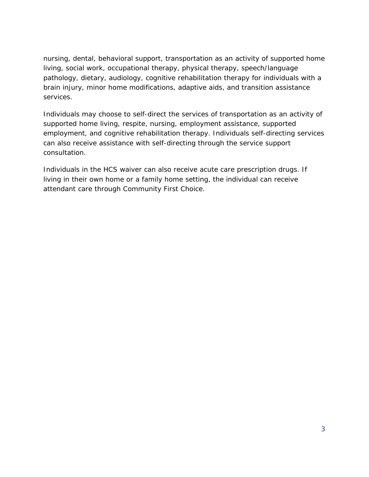nursing, dental, behavioral support, transportation as an activity of supported home living, social work, occupational therapy, physical therapy, speech/language pathology, dietary, audiology, cognitive rehabilitation therapy for individuals with a brain injury, minor home modifications, adaptive aids, and transition assistance services.

Individuals may choose to self-direct the services of transportation as an activity of supported home living, respite, nursing, employment assistance, supported employment, and cognitive rehabilitation therapy. Individuals self-directing services can also receive assistance with self-directing through the service support consultation.

Individuals in the HCS waiver can also receive acute care prescription drugs. If living in their own home or a family home setting, the individual can receive attendant care through Community First Choice.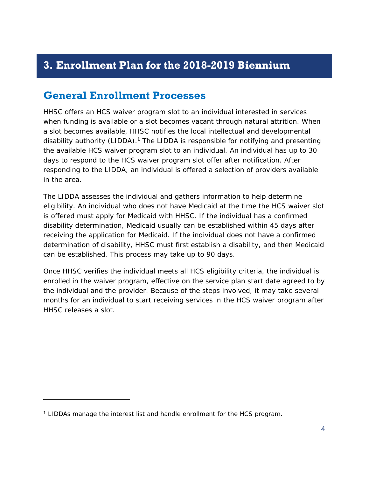## **3. Enrollment Plan for the 2018-2019 Biennium**

#### **General Enrollment Processes**

HHSC offers an HCS waiver program slot to an individual interested in services when funding is available or a slot becomes vacant through natural attrition. When a slot becomes available, HHSC notifies the local intellectual and developmental disability authority (LIDDA).<sup>1</sup> The LIDDA is responsible for notifying and presenting the available HCS waiver program slot to an individual. An individual has up to 30 days to respond to the HCS waiver program slot offer after notification. After responding to the LIDDA, an individual is offered a selection of providers available in the area.

The LIDDA assesses the individual and gathers information to help determine eligibility. An individual who does not have Medicaid at the time the HCS waiver slot is offered must apply for Medicaid with HHSC. If the individual has a confirmed disability determination, Medicaid usually can be established within 45 days after receiving the application for Medicaid. If the individual does not have a confirmed determination of disability, HHSC must first establish a disability, and then Medicaid can be established. This process may take up to 90 days.

Once HHSC verifies the individual meets all HCS eligibility criteria, the individual is enrolled in the waiver program, effective on the service plan start date agreed to by the individual and the provider. Because of the steps involved, it may take several months for an individual to start receiving services in the HCS waiver program after HHSC releases a slot.

-

<sup>&</sup>lt;sup>1</sup> LIDDAs manage the interest list and handle enrollment for the HCS program.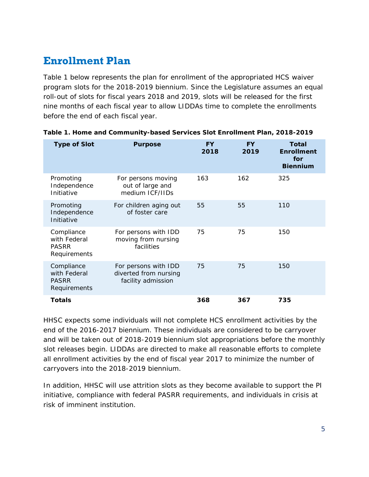## **Enrollment Plan**

Table 1 below represents the plan for enrollment of the appropriated HCS waiver program slots for the 2018-2019 biennium. Since the Legislature assumes an equal roll-out of slots for fiscal years 2018 and 2019, slots will be released for the first nine months of each fiscal year to allow LIDDAs time to complete the enrollments before the end of each fiscal year.

| <b>Type of Slot</b>                                        | <b>Purpose</b>                                                      | <b>FY</b><br>2018 | <b>FY</b><br>2019 | Total<br><b>Enrollment</b><br>for<br><b>Biennium</b> |
|------------------------------------------------------------|---------------------------------------------------------------------|-------------------|-------------------|------------------------------------------------------|
| Promoting<br>Independence<br>Initiative                    | For persons moving<br>out of large and<br>medium ICF/IIDs           | 163               | 162               | 325                                                  |
| Promoting<br>Independence<br>Initiative                    | For children aging out<br>of foster care                            | 55                | 55                | 110                                                  |
| Compliance<br>with Federal<br><b>PASRR</b><br>Requirements | For persons with IDD<br>moving from nursing<br>facilities           | 75                | 75                | 150                                                  |
| Compliance<br>with Federal<br><b>PASRR</b><br>Requirements | For persons with IDD<br>diverted from nursing<br>facility admission | 75                | 75                | 150                                                  |
| Totals                                                     |                                                                     | 368               | 367               | 735                                                  |

|  | Table 1. Home and Community-based Services Slot Enrollment Plan, 2018-2019 |  |  |  |
|--|----------------------------------------------------------------------------|--|--|--|
|  |                                                                            |  |  |  |

HHSC expects some individuals will not complete HCS enrollment activities by the end of the 2016-2017 biennium. These individuals are considered to be carryover and will be taken out of 2018-2019 biennium slot appropriations before the monthly slot releases begin. LIDDAs are directed to make all reasonable efforts to complete all enrollment activities by the end of fiscal year 2017 to minimize the number of carryovers into the 2018-2019 biennium.

In addition, HHSC will use attrition slots as they become available to support the PI initiative, compliance with federal PASRR requirements, and individuals in crisis at risk of imminent institution.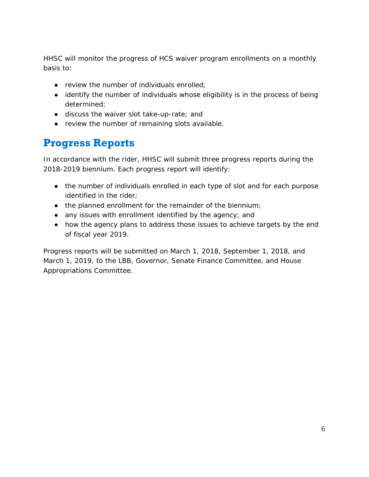HHSC will monitor the progress of HCS waiver program enrollments on a monthly basis to:

- $\bullet$  review the number of individuals enrolled;
- identify the number of individuals whose eligibility is in the process of being determined;
- discuss the waiver slot take-up-rate; and
- review the number of remaining slots available.

#### **Progress Reports**

In accordance with the rider, HHSC will submit three progress reports during the 2018-2019 biennium. Each progress report will identify:

- the number of individuals enrolled in each type of slot and for each purpose identified in the rider;
- the planned enrollment for the remainder of the biennium;
- any issues with enrollment identified by the agency; and
- how the agency plans to address those issues to achieve targets by the end of fiscal year 2019.

Progress reports will be submitted on March 1, 2018, September 1, 2018, and March 1, 2019, to the LBB, Governor, Senate Finance Committee, and House Appropriations Committee.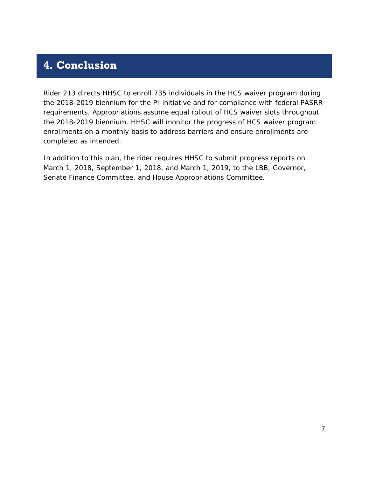#### **4. Conclusion**

Rider 213 directs HHSC to enroll 735 individuals in the HCS waiver program during the 2018-2019 biennium for the PI initiative and for compliance with federal PASRR requirements. Appropriations assume equal rollout of HCS waiver slots throughout the 2018-2019 biennium. HHSC will monitor the progress of HCS waiver program enrollments on a monthly basis to address barriers and ensure enrollments are completed as intended.

In addition to this plan, the rider requires HHSC to submit progress reports on March 1, 2018, September 1, 2018, and March 1, 2019, to the LBB, Governor, Senate Finance Committee, and House Appropriations Committee.